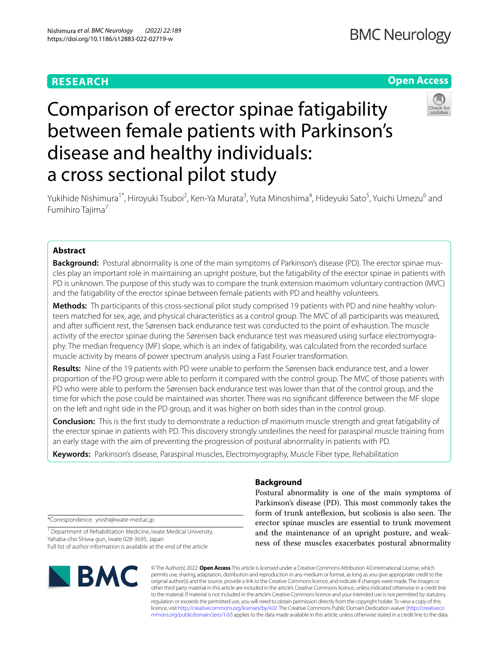# **RESEARCH**

# **Open Access**



# Comparison of erector spinae fatigability between female patients with Parkinson's disease and healthy individuals: a cross sectional pilot study

Yukihide Nishimura<sup>1\*</sup>, Hiroyuki Tsuboi<sup>2</sup>, Ken-Ya Murata<sup>3</sup>, Yuta Minoshima<sup>4</sup>, Hideyuki Sato<sup>5</sup>, Yuichi Umezu<sup>6</sup> and Fumihiro Tajima<sup>7</sup>

## **Abstract**

**Background:** Postural abnormality is one of the main symptoms of Parkinson's disease (PD). The erector spinae muscles play an important role in maintaining an upright posture, but the fatigability of the erector spinae in patients with PD is unknown. The purpose of this study was to compare the trunk extension maximum voluntary contraction (MVC) and the fatigability of the erector spinae between female patients with PD and healthy volunteers.

Methods: Th participants of this cross-sectional pilot study comprised 19 patients with PD and nine healthy volunteers matched for sex, age, and physical characteristics as a control group. The MVC of all participants was measured, and after sufficient rest, the Sørensen back endurance test was conducted to the point of exhaustion. The muscle activity of the erector spinae during the Sørensen back endurance test was measured using surface electromyography. The median frequency (MF) slope, which is an index of fatigability, was calculated from the recorded surface muscle activity by means of power spectrum analysis using a Fast Fourier transformation.

**Results:** Nine of the 19 patients with PD were unable to perform the Sørensen back endurance test, and a lower proportion of the PD group were able to perform it compared with the control group. The MVC of those patients with PD who were able to perform the Sørensen back endurance test was lower than that of the control group, and the time for which the pose could be maintained was shorter. There was no signifcant diference between the MF slope on the left and right side in the PD group, and it was higher on both sides than in the control group.

**Conclusion:** This is the frst study to demonstrate a reduction of maximum muscle strength and great fatigability of the erector spinae in patients with PD. This discovery strongly underlines the need for paraspinal muscle training from an early stage with the aim of preventing the progression of postural abnormality in patients with PD.

**Keywords:** Parkinson's disease, Paraspinal muscles, Electromyography, Muscle Fiber type, Rehabilitation

# **Background**

Postural abnormality is one of the main symptoms of Parkinson's disease (PD). This most commonly takes the form of trunk anteflexion, but scoliosis is also seen. The erector spinae muscles are essential to trunk movement and the maintenance of an upright posture, and weakness of these muscles exacerbates postural abnormality

\*Correspondence: ynishi@iwate-med.ac.jp

<sup>1</sup> Department of Rehabilitation Medicine, Iwate Medical University, Yahaba‑cho Shiwa‑gun, Iwate 028‑3695, Japan Full list of author information is available at the end of the article



© The Author(s) 2022. **Open Access** This article is licensed under a Creative Commons Attribution 4.0 International License, which permits use, sharing, adaptation, distribution and reproduction in any medium or format, as long as you give appropriate credit to the original author(s) and the source, provide a link to the Creative Commons licence, and indicate if changes were made. The images or other third party material in this article are included in the article's Creative Commons licence, unless indicated otherwise in a credit line to the material. If material is not included in the article's Creative Commons licence and your intended use is not permitted by statutory regulation or exceeds the permitted use, you will need to obtain permission directly from the copyright holder. To view a copy of this licence, visit [http://creativecommons.org/licenses/by/4.0/.](http://creativecommons.org/licenses/by/4.0/) The Creative Commons Public Domain Dedication waiver ([http://creativeco](http://creativecommons.org/publicdomain/zero/1.0/) [mmons.org/publicdomain/zero/1.0/](http://creativecommons.org/publicdomain/zero/1.0/)) applies to the data made available in this article, unless otherwise stated in a credit line to the data.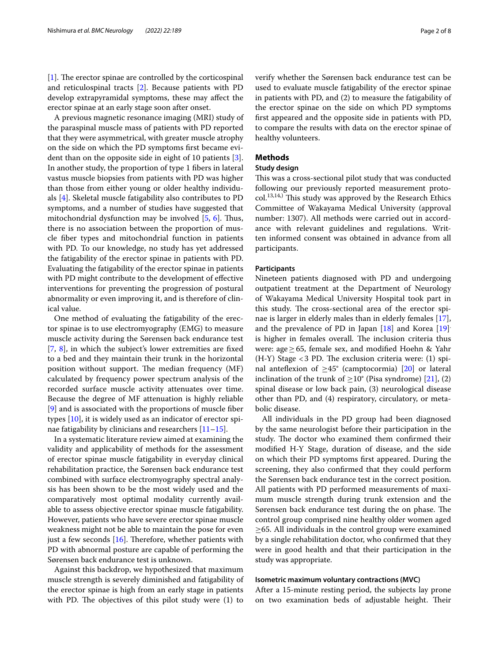$[1]$  $[1]$ . The erector spinae are controlled by the corticospinal and reticulospinal tracts [[2\]](#page-6-1). Because patients with PD develop extrapyramidal symptoms, these may afect the erector spinae at an early stage soon after onset.

A previous magnetic resonance imaging (MRI) study of the paraspinal muscle mass of patients with PD reported that they were asymmetrical, with greater muscle atrophy on the side on which the PD symptoms frst became evident than on the opposite side in eight of 10 patients [\[3](#page-6-2)]. In another study, the proportion of type 1 fbers in lateral vastus muscle biopsies from patients with PD was higher than those from either young or older healthy individuals [[4](#page-7-0)]. Skeletal muscle fatigability also contributes to PD symptoms, and a number of studies have suggested that mitochondrial dysfunction may be involved [\[5](#page-7-1), [6](#page-7-2)]. Thus, there is no association between the proportion of muscle fber types and mitochondrial function in patients with PD. To our knowledge, no study has yet addressed the fatigability of the erector spinae in patients with PD. Evaluating the fatigability of the erector spinae in patients with PD might contribute to the development of efective interventions for preventing the progression of postural abnormality or even improving it, and is therefore of clinical value.

One method of evaluating the fatigability of the erector spinae is to use electromyography (EMG) to measure muscle activity during the Sørensen back endurance test [[7,](#page-7-3) [8](#page-7-4)], in which the subject's lower extremities are fxed to a bed and they maintain their trunk in the horizontal position without support. The median frequency (MF) calculated by frequency power spectrum analysis of the recorded surface muscle activity attenuates over time. Because the degree of MF attenuation is highly reliable [[9\]](#page-7-5) and is associated with the proportions of muscle fber types [\[10\]](#page-7-6), it is widely used as an indicator of erector spinae fatigability by clinicians and researchers [\[11–](#page-7-7)[15\]](#page-7-8).

In a systematic literature review aimed at examining the validity and applicability of methods for the assessment of erector spinae muscle fatigability in everyday clinical rehabilitation practice, the Sørensen back endurance test combined with surface electromyography spectral analysis has been shown to be the most widely used and the comparatively most optimal modality currently available to assess objective erector spinae muscle fatigability. However, patients who have severe erector spinae muscle weakness might not be able to maintain the pose for even just a few seconds  $[16]$  $[16]$  $[16]$ . Therefore, whether patients with PD with abnormal posture are capable of performing the Sørensen back endurance test is unknown.

Against this backdrop, we hypothesized that maximum muscle strength is severely diminished and fatigability of the erector spinae is high from an early stage in patients with PD. The objectives of this pilot study were  $(1)$  to verify whether the Sørensen back endurance test can be used to evaluate muscle fatigability of the erector spinae in patients with PD, and (2) to measure the fatigability of the erector spinae on the side on which PD symptoms frst appeared and the opposite side in patients with PD, to compare the results with data on the erector spinae of healthy volunteers.

## **Methods**

## **Study design**

This was a cross-sectional pilot study that was conducted following our previously reported measurement proto $col.<sup>13,14</sup>$ ) This study was approved by the Research Ethics Committee of Wakayama Medical University (approval number: 1307). All methods were carried out in accordance with relevant guidelines and regulations. Written informed consent was obtained in advance from all participants.

## **Participants**

Nineteen patients diagnosed with PD and undergoing outpatient treatment at the Department of Neurology of Wakayama Medical University Hospital took part in this study. The cross-sectional area of the erector spinae is larger in elderly males than in elderly females [\[17](#page-7-10)], and the prevalence of PD in Japan [\[18](#page-7-11)] and Korea [[19\]](#page-7-12) . is higher in females overall. The inclusion criteria thus were: age≥65, female sex, and modifed Hoehn & Yahr  $(H-Y)$  Stage <3 PD. The exclusion criteria were: (1) spinal anteflexion of  $\geq 45^{\circ}$  (camptocormia) [\[20](#page-7-13)] or lateral inclination of the trunk of  $\geq 10^{\circ}$  (Pisa syndrome) [\[21](#page-7-14)], (2) spinal disease or low back pain, (3) neurological disease other than PD, and (4) respiratory, circulatory, or metabolic disease.

All individuals in the PD group had been diagnosed by the same neurologist before their participation in the study. The doctor who examined them confirmed their modifed H-Y Stage, duration of disease, and the side on which their PD symptoms frst appeared. During the screening, they also confrmed that they could perform the Sørensen back endurance test in the correct position. All patients with PD performed measurements of maximum muscle strength during trunk extension and the Sørensen back endurance test during the on phase. The control group comprised nine healthy older women aged ≥65. All individuals in the control group were examined by a single rehabilitation doctor, who confrmed that they were in good health and that their participation in the study was appropriate.

## **Isometric maximum voluntary contractions (MVC)**

After a 15-minute resting period, the subjects lay prone on two examination beds of adjustable height. Their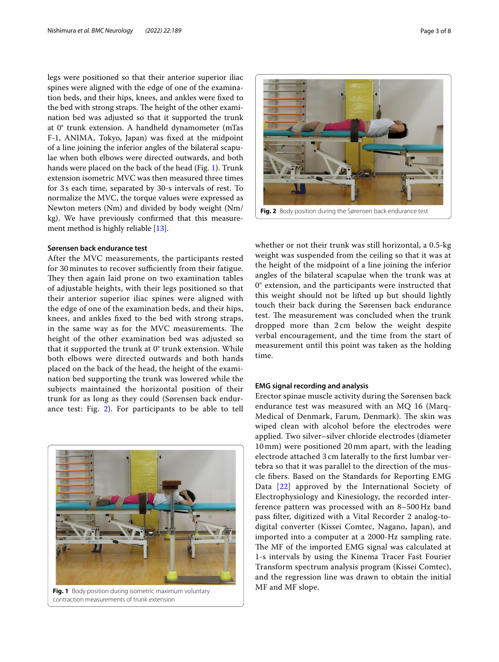legs were positioned so that their anterior superior iliac spines were aligned with the edge of one of the examination beds, and their hips, knees, and ankles were fxed to the bed with strong straps. The height of the other examination bed was adjusted so that it supported the trunk at 0° trunk extension. A handheld dynamometer (mTas F-1, ANIMA, Tokyo, Japan) was fxed at the midpoint of a line joining the inferior angles of the bilateral scapulae when both elbows were directed outwards, and both hands were placed on the back of the head (Fig. [1](#page-2-0)). Trunk extension isometric MVC was then measured three times for 3s each time, separated by 30-s intervals of rest. To normalize the MVC, the torque values were expressed as Newton meters (Nm) and divided by body weight (Nm/ kg). We have previously confrmed that this measurement method is highly reliable [\[13\]](#page-7-15).

## **Sørensen back endurance test**

After the MVC measurements, the participants rested for 30 minutes to recover sufficiently from their fatigue. They then again laid prone on two examination tables of adjustable heights, with their legs positioned so that their anterior superior iliac spines were aligned with the edge of one of the examination beds, and their hips, knees, and ankles fxed to the bed with strong straps, in the same way as for the MVC measurements. The height of the other examination bed was adjusted so that it supported the trunk at 0° trunk extension. While both elbows were directed outwards and both hands placed on the back of the head, the height of the examination bed supporting the trunk was lowered while the subjects maintained the horizontal position of their trunk for as long as they could (Sørensen back endurance test: Fig. [2\)](#page-2-1). For participants to be able to tell



<span id="page-2-0"></span>contraction measurements of trunk extension



**Fig. 2** Body position during the Sørensen back endurance test

<span id="page-2-1"></span>whether or not their trunk was still horizontal, a 0.5-kg weight was suspended from the ceiling so that it was at the height of the midpoint of a line joining the inferior angles of the bilateral scapulae when the trunk was at 0° extension, and the participants were instructed that this weight should not be lifted up but should lightly touch their back during the Sørensen back endurance test. The measurement was concluded when the trunk dropped more than 2 cm below the weight despite verbal encouragement, and the time from the start of measurement until this point was taken as the holding time.

## **EMG signal recording and analysis**

Erector spinae muscle activity during the Sørensen back endurance test was measured with an MQ 16 (Marq-Medical of Denmark, Farum, Denmark). The skin was wiped clean with alcohol before the electrodes were applied. Two silver–silver chloride electrodes (diameter 10 mm) were positioned 20 mm apart, with the leading electrode attached 3 cm laterally to the frst lumbar vertebra so that it was parallel to the direction of the muscle fbers. Based on the Standards for Reporting EMG Data [[22\]](#page-7-16) approved by the International Society of Electrophysiology and Kinesiology, the recorded interference pattern was processed with an 8–500Hz band pass flter, digitized with a Vital Recorder 2 analog-todigital converter (Kissei Comtec, Nagano, Japan), and imported into a computer at a 2000-Hz sampling rate. The MF of the imported EMG signal was calculated at 1-s intervals by using the Kinema Tracer Fast Fourier Transform spectrum analysis program (Kissei Comtec), and the regression line was drawn to obtain the initial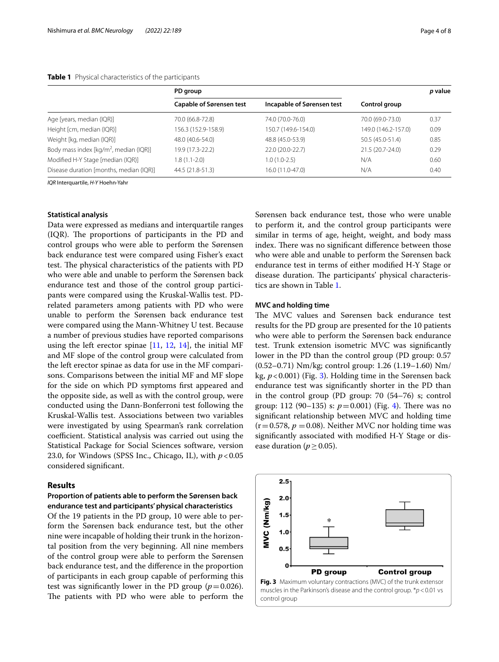#### <span id="page-3-0"></span>**Table 1** Physical characteristics of the participants

|                                                    | PD group                        |                            |                     | p value |
|----------------------------------------------------|---------------------------------|----------------------------|---------------------|---------|
|                                                    | <b>Capable of Sørensen test</b> | Incapable of Sørensen test | Control group       |         |
| Age [years, median (IQR)]                          | 70.0 (66.8-72.8)                | 74.0 (70.0-76.0)           | 70.0 (69.0-73.0)    | 0.37    |
| Height [cm, median (IQR)]                          | 156.3 (152.9-158.9)             | 150.7 (149.6-154.0)        | 149.0 (146.2-157.0) | 0.09    |
| Weight [kg, median (IQR)]                          | 48.0 (40.6-54.0)                | 48.8 (45.0-53.9)           | 50.5 (45.0-51.4)    | 0.85    |
| Body mass index [kg/m <sup>2</sup> , median (IQR)] | 19.9 (17.3-22.2)                | 22.0 (20.0-22.7)           | 21.5 (20.7-24.0)    | 0.29    |
| Modified H-Y Stage [median (IQR)]                  | $1.8(1.1-2.0)$                  | $1.0(1.0-2.5)$             | N/A                 | 0.60    |
| Disease duration [months, median (IQR)]            | 44.5 (21.8-51.3)                | 16.0 (11.0-47.0)           | N/A                 | 0.40    |

*IQR* Interquartile, *H-Y* Hoehn-Yahr

#### **Statistical analysis**

Data were expressed as medians and interquartile ranges  $I(QR)$ . The proportions of participants in the PD and control groups who were able to perform the Sørensen back endurance test were compared using Fisher's exact test. The physical characteristics of the patients with PD who were able and unable to perform the Sørensen back endurance test and those of the control group participants were compared using the Kruskal-Wallis test. PDrelated parameters among patients with PD who were unable to perform the Sørensen back endurance test were compared using the Mann-Whitney U test. Because a number of previous studies have reported comparisons using the left erector spinae  $[11, 12, 14]$  $[11, 12, 14]$  $[11, 12, 14]$  $[11, 12, 14]$  $[11, 12, 14]$  $[11, 12, 14]$  $[11, 12, 14]$ , the initial MF and MF slope of the control group were calculated from the left erector spinae as data for use in the MF comparisons. Comparisons between the initial MF and MF slope for the side on which PD symptoms frst appeared and the opposite side, as well as with the control group, were conducted using the Dann-Bonferroni test following the Kruskal-Wallis test. Associations between two variables were investigated by using Spearman's rank correlation coefficient. Statistical analysis was carried out using the Statistical Package for Social Sciences software, version 23.0, for Windows (SPSS Inc., Chicago, IL), with  $p < 0.05$ considered signifcant.

## **Results**

## **Proportion of patients able to perform the Sørensen back endurance test and participants' physical characteristics**

Of the 19 patients in the PD group, 10 were able to perform the Sørensen back endurance test, but the other nine were incapable of holding their trunk in the horizontal position from the very beginning. All nine members of the control group were able to perform the Sørensen back endurance test, and the diference in the proportion of participants in each group capable of performing this test was significantly lower in the PD group  $(p=0.026)$ . The patients with PD who were able to perform the Sørensen back endurance test, those who were unable to perform it, and the control group participants were similar in terms of age, height, weight, and body mass index. There was no significant difference between those who were able and unable to perform the Sørensen back endurance test in terms of either modifed H-Y Stage or disease duration. The participants' physical characteristics are shown in Table [1](#page-3-0).

## **MVC and holding time**

The MVC values and Sørensen back endurance test results for the PD group are presented for the 10 patients who were able to perform the Sørensen back endurance test. Trunk extension isometric MVC was signifcantly lower in the PD than the control group (PD group: 0.57 (0.52–0.71) Nm/kg; control group: 1.26 (1.19–1.60) Nm/ kg, *p*<0.001) (Fig. [3](#page-3-1)). Holding time in the Sørensen back endurance test was signifcantly shorter in the PD than in the control group (PD group: 70 (54–76) s; control group: 112 (90–135) s:  $p=0.001$ ) (Fig. [4](#page-4-0)). There was no signifcant relationship between MVC and holding time  $(r=0.578, p=0.08)$ . Neither MVC nor holding time was signifcantly associated with modifed H-Y Stage or disease duration ( $p \ge 0.05$ ).

<span id="page-3-1"></span>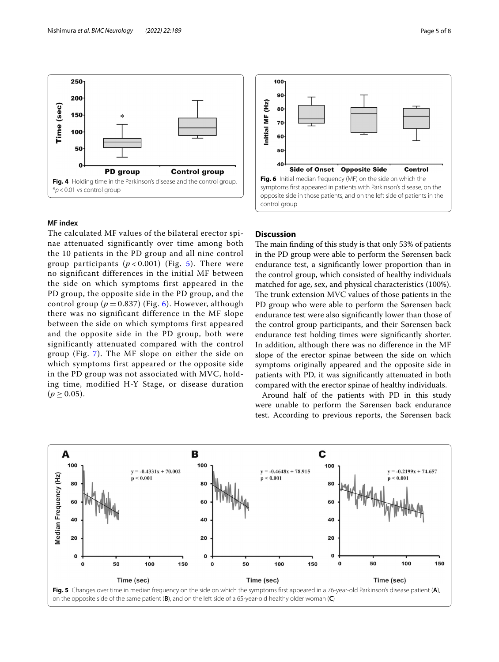

## <span id="page-4-0"></span>**MF index**

The calculated MF values of the bilateral erector spinae attenuated significantly over time among both the 10 patients in the PD group and all nine control group participants  $(p < 0.001)$  (Fig. [5](#page-4-1)). There were no significant differences in the initial MF between the side on which symptoms first appeared in the PD group, the opposite side in the PD group, and the control group ( $p = 0.837$ ) (Fig. [6\)](#page-4-2). However, although there was no significant difference in the MF slope between the side on which symptoms first appeared and the opposite side in the PD group, both were significantly attenuated compared with the control group (Fig. [7](#page-5-0)). The MF slope on either the side on which symptoms first appeared or the opposite side in the PD group was not associated with MVC, holding time, modified H-Y Stage, or disease duration  $(p \ge 0.05)$ .



## <span id="page-4-2"></span>**Discussion**

The main finding of this study is that only 53% of patients in the PD group were able to perform the Sørensen back endurance test, a signifcantly lower proportion than in the control group, which consisted of healthy individuals matched for age, sex, and physical characteristics (100%). The trunk extension MVC values of those patients in the PD group who were able to perform the Sørensen back endurance test were also signifcantly lower than those of the control group participants, and their Sørensen back endurance test holding times were signifcantly shorter. In addition, although there was no diference in the MF slope of the erector spinae between the side on which symptoms originally appeared and the opposite side in patients with PD, it was signifcantly attenuated in both compared with the erector spinae of healthy individuals.

Around half of the patients with PD in this study were unable to perform the Sørensen back endurance test. According to previous reports, the Sørensen back

<span id="page-4-1"></span>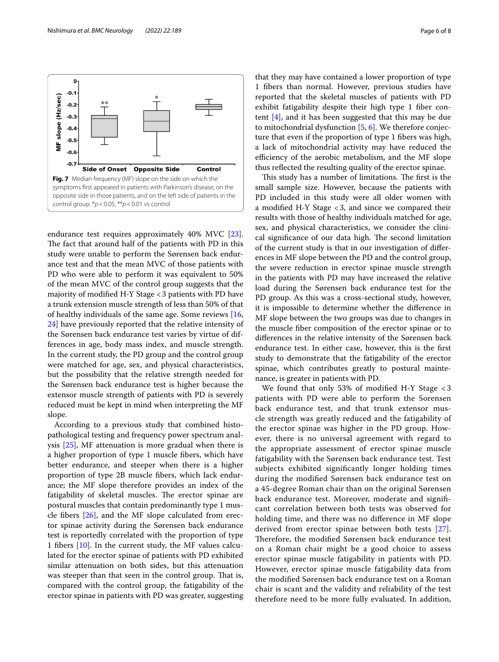

<span id="page-5-0"></span>endurance test requires approximately 40% MVC [\[23](#page-7-19)]. The fact that around half of the patients with PD in this study were unable to perform the Sørensen back endurance test and that the mean MVC of those patients with PD who were able to perform it was equivalent to 50% of the mean MVC of the control group suggests that the majority of modifed H-Y Stage <3 patients with PD have a trunk extension muscle strength of less than 50% of that of healthy individuals of the same age. Some reviews  $[16,$  $[16,$ [24\]](#page-7-20) have previously reported that the relative intensity of the Sørensen back endurance test varies by virtue of differences in age, body mass index, and muscle strength. In the current study, the PD group and the control group were matched for age, sex, and physical characteristics, but the possibility that the relative strength needed for the Sørensen back endurance test is higher because the extensor muscle strength of patients with PD is severely reduced must be kept in mind when interpreting the MF slope.

According to a previous study that combined histopathological testing and frequency power spectrum analysis [\[25\]](#page-7-21), MF attenuation is more gradual when there is a higher proportion of type 1 muscle fbers, which have better endurance, and steeper when there is a higher proportion of type 2B muscle fbers, which lack endurance; the MF slope therefore provides an index of the fatigability of skeletal muscles. The erector spinae are postural muscles that contain predominantly type 1 muscle fbers [[26\]](#page-7-22), and the MF slope calculated from erector spinae activity during the Sørensen back endurance test is reportedly correlated with the proportion of type 1 fbers [\[10](#page-7-6)]. In the current study, the MF values calculated for the erector spinae of patients with PD exhibited similar attenuation on both sides, but this attenuation was steeper than that seen in the control group. That is, compared with the control group, the fatigability of the erector spinae in patients with PD was greater, suggesting

that they may have contained a lower proportion of type 1 fbers than normal. However, previous studies have reported that the skeletal muscles of patients with PD exhibit fatigability despite their high type 1 fiber content [\[4](#page-7-0)], and it has been suggested that this may be due to mitochondrial dysfunction [\[5](#page-7-1), [6\]](#page-7-2). We therefore conjecture that even if the proportion of type 1 fibers was high, a lack of mitochondrial activity may have reduced the efficiency of the aerobic metabolism, and the MF slope thus refected the resulting quality of the erector spinae.

This study has a number of limitations. The first is the small sample size. However, because the patients with PD included in this study were all older women with a modifed H-Y Stage <3, and since we compared their results with those of healthy individuals matched for age, sex, and physical characteristics, we consider the clinical significance of our data high. The second limitation of the current study is that in our investigation of diferences in MF slope between the PD and the control group, the severe reduction in erector spinae muscle strength in the patients with PD may have increased the relative load during the Sørensen back endurance test for the PD group. As this was a cross-sectional study, however, it is impossible to determine whether the diference in MF slope between the two groups was due to changes in the muscle fber composition of the erector spinae or to diferences in the relative intensity of the Sørensen back endurance test. In either case, however, this is the frst study to demonstrate that the fatigability of the erector spinae, which contributes greatly to postural maintenance, is greater in patients with PD.

We found that only 53% of modifed H-Y Stage < 3 patients with PD were able to perform the Sorensen back endurance test, and that trunk extensor muscle strength was greatly reduced and the fatigability of the erector spinae was higher in the PD group. However, there is no universal agreement with regard to the appropriate assessment of erector spinae muscle fatigability with the Sørensen back endurance test. Test subjects exhibited signifcantly longer holding times during the modifed Sørensen back endurance test on a 45-degree Roman chair than on the original Sørensen back endurance test. Moreover, moderate and signifcant correlation between both tests was observed for holding time, and there was no diference in MF slope derived from erector spinae between both tests [[27](#page-7-23)]. Therefore, the modified Sørensen back endurance test on a Roman chair might be a good choice to assess erector spinae muscle fatigability in patients with PD. However, erector spinae muscle fatigability data from the modifed Sørensen back endurance test on a Roman chair is scant and the validity and reliability of the test therefore need to be more fully evaluated. In addition,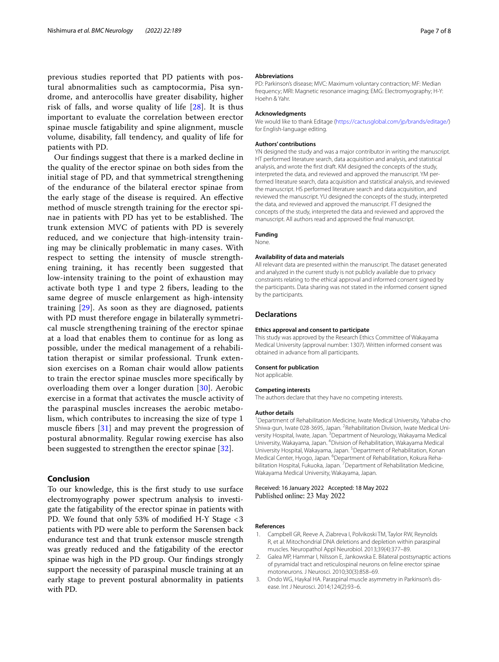previous studies reported that PD patients with postural abnormalities such as camptocormia, Pisa syndrome, and anterocollis have greater disability, higher risk of falls, and worse quality of life  $[28]$  $[28]$  $[28]$ . It is thus important to evaluate the correlation between erector spinae muscle fatigability and spine alignment, muscle volume, disability, fall tendency, and quality of life for patients with PD.

Our fndings suggest that there is a marked decline in the quality of the erector spinae on both sides from the initial stage of PD, and that symmetrical strengthening of the endurance of the bilateral erector spinae from the early stage of the disease is required. An efective method of muscle strength training for the erector spinae in patients with PD has yet to be established. The trunk extension MVC of patients with PD is severely reduced, and we conjecture that high-intensity training may be clinically problematic in many cases. With respect to setting the intensity of muscle strengthening training, it has recently been suggested that low-intensity training to the point of exhaustion may activate both type 1 and type 2 fbers, leading to the same degree of muscle enlargement as high-intensity training [\[29](#page-7-25)]. As soon as they are diagnosed, patients with PD must therefore engage in bilaterally symmetrical muscle strengthening training of the erector spinae at a load that enables them to continue for as long as possible, under the medical management of a rehabilitation therapist or similar professional. Trunk extension exercises on a Roman chair would allow patients to train the erector spinae muscles more specifcally by overloading them over a longer duration [\[30](#page-7-26)]. Aerobic exercise in a format that activates the muscle activity of the paraspinal muscles increases the aerobic metabolism, which contributes to increasing the size of type 1 muscle fbers [[31](#page-7-27)] and may prevent the progression of postural abnormality. Regular rowing exercise has also been suggested to strengthen the erector spinae [\[32](#page-7-28)].

## **Conclusion**

To our knowledge, this is the frst study to use surface electromyography power spectrum analysis to investigate the fatigability of the erector spinae in patients with PD. We found that only 53% of modifed H-Y Stage <3 patients with PD were able to perform the Sørensen back endurance test and that trunk extensor muscle strength was greatly reduced and the fatigability of the erector spinae was high in the PD group. Our fndings strongly support the necessity of paraspinal muscle training at an early stage to prevent postural abnormality in patients with PD.

#### **Abbreviations**

PD: Parkinson's disease; MVC: Maximum voluntary contraction; MF: Median frequency; MRI: Magnetic resonance imaging; EMG: Electromyography; H-Y: Hoehn & Yahr.

#### **Acknowledgments**

We would like to thank Editage ([https://cactusglobal.com/jp/brands/editage/\)](https://cactusglobal.com/jp/brands/editage/) for English-language editing.

#### **Authors' contributions**

YN designed the study and was a major contributor in writing the manuscript. HT performed literature search, data acquisition and analysis, and statistical analysis, and wrote the frst draft. KM designed the concepts of the study, interpreted the data, and reviewed and approved the manuscript. YM performed literature search, data acquisition and statistical analysis, and reviewed the manuscript. HS performed literature search and data acquisition, and reviewed the manuscript. YU designed the concepts of the study, interpreted the data, and reviewed and approved the manuscript. FT designed the concepts of the study, interpreted the data and reviewed and approved the manuscript. All authors read and approved the fnal manuscript.

#### **Funding**

None.

## **Availability of data and materials**

All relevant data are presented within the manuscript. The dataset generated and analyzed in the current study is not publicly available due to privacy constraints relating to the ethical approval and informed consent signed by the participants. Data sharing was not stated in the informed consent signed by the participants.

#### **Declarations**

#### **Ethics approval and consent to participate**

This study was approved by the Research Ethics Committee of Wakayama Medical University (approval number: 1307). Written informed consent was obtained in advance from all participants.

#### **Consent for publication**

Not applicable.

#### **Competing interests**

The authors declare that they have no competing interests.

#### **Author details**

<sup>1</sup> Department of Rehabilitation Medicine, Iwate Medical University, Yahaba-cho Shiwa-gun, Iwate 028-3695, Japan. <sup>2</sup> Rehabilitation Division, Iwate Medical University Hospital, Iwate, Japan. <sup>3</sup> Department of Neurology, Wakayama Medical University, Wakayama, Japan. <sup>4</sup> Division of Rehabilitation, Wakayama Medical University Hospital, Wakayama, Japan.<sup>5</sup> Department of Rehabilitation, Konan Medical Center, Hyogo, Japan. <sup>6</sup>Department of Rehabilitation, Kokura Rehabilitation Hospital, Fukuoka, Japan. <sup>7</sup> Department of Rehabilitation Medicine, Wakayama Medical University, Wakayama, Japan.

Received: 16 January 2022 Accepted: 18 May 2022 Published online: 23 May 2022

#### **References**

- <span id="page-6-0"></span>1. Campbell GR, Reeve A, Ziabreva I, Polvikoski TM, Taylor RW, Reynolds R, et al. Mitochondrial DNA deletions and depletion within paraspinal muscles. Neuropathol Appl Neurobiol. 2013;39(4):377–89.
- <span id="page-6-1"></span>2. Galea MP, Hammar I, Nilsson E, Jankowska E. Bilateral postsynaptic actions of pyramidal tract and reticulospinal neurons on feline erector spinae motoneurons. J Neurosci. 2010;30(3):858–69.
- <span id="page-6-2"></span>3. Ondo WG, Haykal HA. Paraspinal muscle asymmetry in Parkinson's disease. Int J Neurosci. 2014;124(2):93–6.